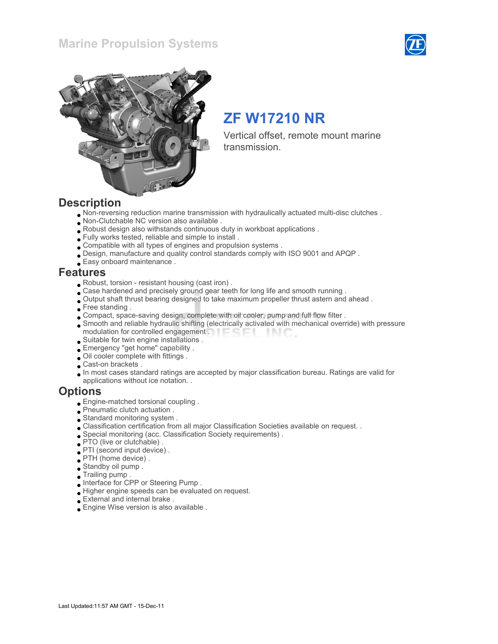### Marine Propulsion Systems





# ZF W17210 NR

Vertical offset, remote mount marine transmission.

### **Description**

- Non-reversing reduction marine transmission with hydraulically actuated multi-disc clutches .
- Non-Clutchable NC version also available .
- Robust design also withstands continuous duty in workboat applications .
- Fully works tested, reliable and simple to install .
- Compatible with all types of engines and propulsion systems .
- Design, manufacture and quality control standards comply with ISO 9001 and APQP .
- Easy onboard maintenance .

### Features

- Robust, torsion resistant housing (cast iron) .
- Case hardened and precisely ground gear teeth for long life and smooth running .
- Output shaft thrust bearing designed to take maximum propeller thrust astern and ahead .
- Free standing.
- Compact, space-saving design, complete with oil cooler, pump and full flow filter .
- Smooth and reliable hydraulic shifting (electrically activated with mechanical override) with pressure modulation for controlled engagement . **Example 20** -INC
- Suitable for twin engine installations .
- Emergency "get home" capability .
- Oil cooler complete with fittings .
- Cast-on brackets .
- In most cases standard ratings are accepted by major classification bureau. Ratings are valid for applications without ice notation. .

### **Options**

- Engine-matched torsional coupling .
- Pneumatic clutch actuation .
- Standard monitoring system .
- Classification certification from all major Classification Societies available on request. .
- Special monitoring (acc. Classification Society requirements) .
- PTO (live or clutchable) .
- PTI (second input device) .
- PTH (home device) .
- Standby oil pump .
- Trailing pump .
- Interface for CPP or Steering Pump .
- Higher engine speeds can be evaluated on request.
- External and internal brake .
- Engine Wise version is also available .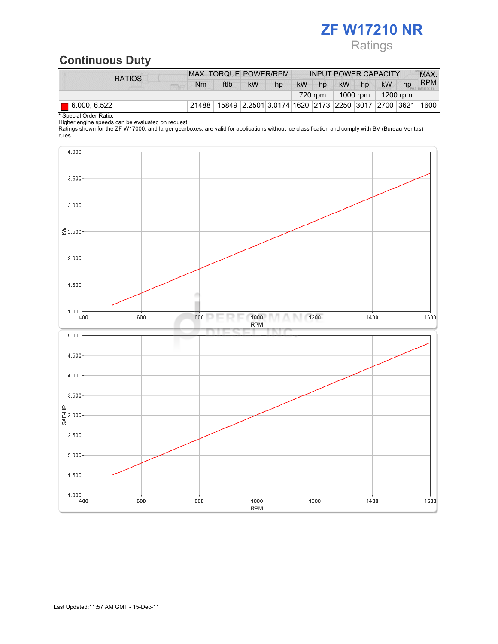## ZF W17210 NR **Ratings**

## Continuous Duty

| <b>RATIOS</b>            | MAX. TORQUE POWER/RPM |      |           | <b>INPUT POWER CAPACITY</b>                       |           |                                               |    | MAX. |           |    |            |
|--------------------------|-----------------------|------|-----------|---------------------------------------------------|-----------|-----------------------------------------------|----|------|-----------|----|------------|
|                          | Nm                    | ftlb | <b>kW</b> | hp                                                | <b>kW</b> | hp                                            | kW | hp   | <b>kW</b> | hp | <b>RPM</b> |
|                          |                       |      |           |                                                   |           | 1200 rpm<br>1000 rpm $\parallel$<br>$720$ rpm |    |      |           |    |            |
| $\boxed{ }$ 6.000, 6.522 | 21488                 |      |           | 15849 2.2501 3.0174 1620 2173 2250 3017 2700 3621 |           |                                               |    |      |           |    | ⊺1600      |

\* Special Order Ratio.

Higher engine speeds can be evaluated on request.

Ratings shown for the ZF W17000, and larger gearboxes, are valid for applications without ice classification and comply with BV (Bureau Veritas) rules.

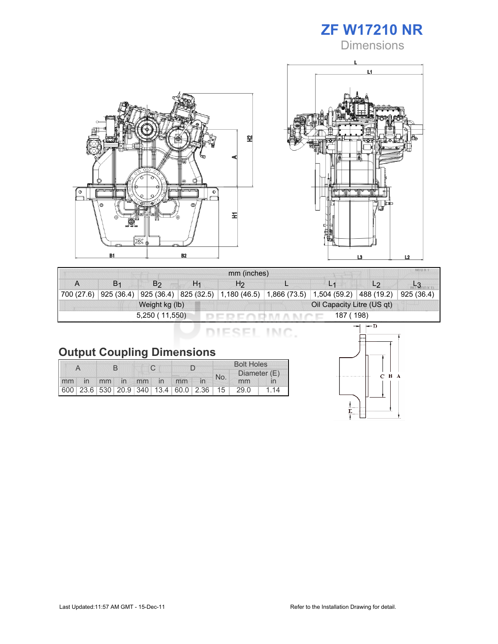





| mm (inches) |    |                |    |                                                                                                             |  |                |                |            |  |
|-------------|----|----------------|----|-------------------------------------------------------------------------------------------------------------|--|----------------|----------------|------------|--|
|             | B1 | B2             | H1 | H <sub>2</sub>                                                                                              |  | L <sub>1</sub> | L <sub>2</sub> |            |  |
|             |    |                |    | 700 (27.6)   925 (36.4)   925 (36.4)   825 (32.5)   1,180 (46.5)   1,866 (73.5)   1,504 (59.2)   488 (19.2) |  |                |                | 925 (36.4) |  |
|             |    | Weight kg (lb) |    | Oil Capacity Litre (US qt)                                                                                  |  |                |                |            |  |
|             |    | 5,250 (11,550) |    |                                                                                                             |  | 187 (198)      |                |            |  |

DIESEL INC.

|  |  | <b>Output Coupling Dimensions</b> |
|--|--|-----------------------------------|
|--|--|-----------------------------------|

|       |  |  |  |  |             |                                         |  | <b>Bolt Holes</b> |              |      |  |
|-------|--|--|--|--|-------------|-----------------------------------------|--|-------------------|--------------|------|--|
|       |  |  |  |  |             |                                         |  | No.               | Diameter (E) |      |  |
| mm in |  |  |  |  | mm in mm in | mm                                      |  |                   | mm           |      |  |
|       |  |  |  |  |             | 600 23.6 530 20.9 340 13.4 60.0 2.36 15 |  |                   | 29.0         | l 14 |  |

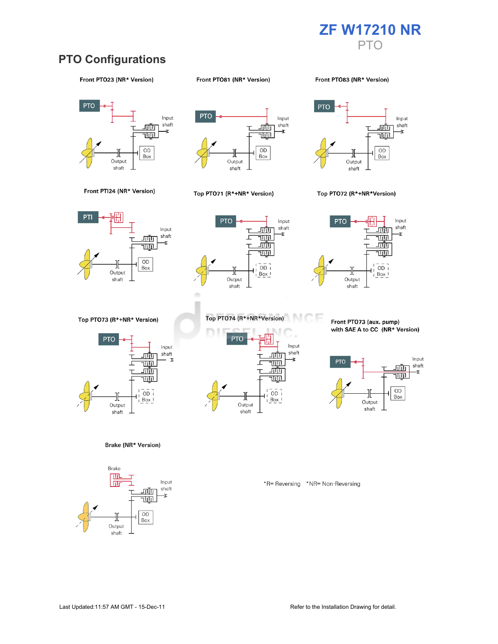

### PTO Configurations

#### Front PTO23 (NR\* Version)

#### Front PTO81 (NR\* Version)

Front PT083 (NR\* Version)





#### Top PTO71 (R\*+NR\* Version)



#### Top PTO72 (R\*+NR\*Version)







Top PTO73 (R\*+NR\* Version)



Brake (NR\* Version)





Front PTO73 (aux. pump) with SAE A to CC (NR\* Version)



\*R= Reversing \*NR= Non-Reversing